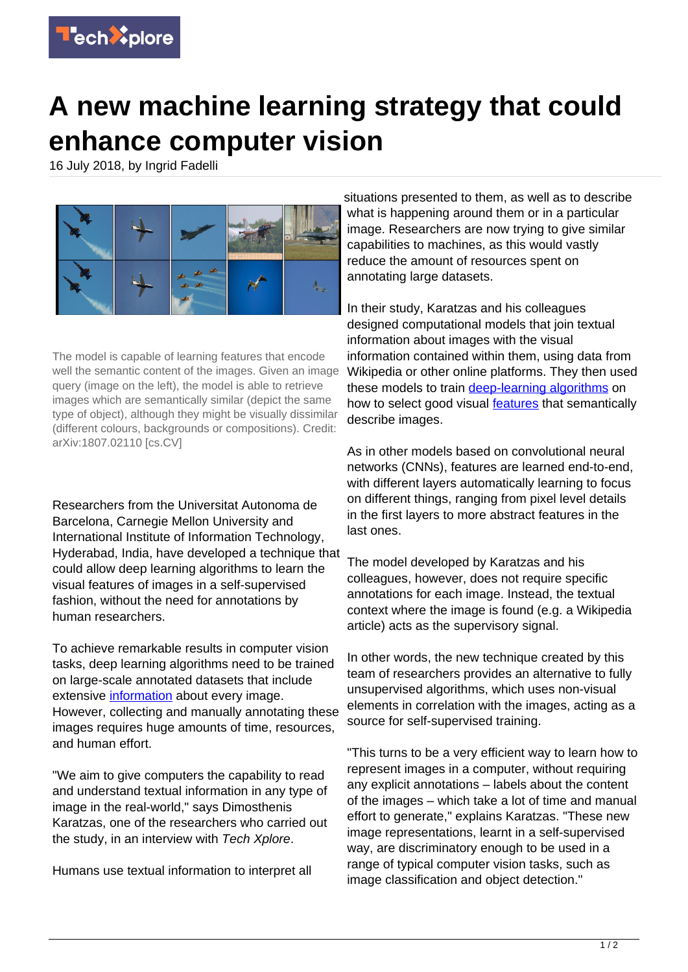

## **A new machine learning strategy that could enhance computer vision**

16 July 2018, by Ingrid Fadelli



The model is capable of learning features that encode well the semantic content of the images. Given an image query (image on the left), the model is able to retrieve images which are semantically similar (depict the same type of object), although they might be visually dissimilar (different colours, backgrounds or compositions). Credit: arXiv:1807.02110 [cs.CV]

Researchers from the Universitat Autonoma de Barcelona, Carnegie Mellon University and International Institute of Information Technology, Hyderabad, India, have developed a technique that could allow deep learning algorithms to learn the visual features of images in a self-supervised fashion, without the need for annotations by human researchers.

To achieve remarkable results in computer vision tasks, deep learning algorithms need to be trained on large-scale annotated datasets that include extensive [information](https://techxplore.com/tags/information/) about every image. However, collecting and manually annotating these images requires huge amounts of time, resources, and human effort.

"We aim to give computers the capability to read and understand textual information in any type of image in the real-world," says Dimosthenis Karatzas, one of the researchers who carried out the study, in an interview with Tech Xplore.

Humans use textual information to interpret all

situations presented to them, as well as to describe what is happening around them or in a particular image. Researchers are now trying to give similar capabilities to machines, as this would vastly reduce the amount of resources spent on annotating large datasets.

In their study, Karatzas and his colleagues designed computational models that join textual information about images with the visual information contained within them, using data from Wikipedia or other online platforms. They then used these models to train [deep-learning algorithms](https://techxplore.com/tags/deep+learning+algorithms/) on how to select good visual **features** that semantically describe images.

As in other models based on convolutional neural networks (CNNs), features are learned end-to-end, with different layers automatically learning to focus on different things, ranging from pixel level details in the first layers to more abstract features in the last ones.

The model developed by Karatzas and his colleagues, however, does not require specific annotations for each image. Instead, the textual context where the image is found (e.g. a Wikipedia article) acts as the supervisory signal.

In other words, the new technique created by this team of researchers provides an alternative to fully unsupervised algorithms, which uses non-visual elements in correlation with the images, acting as a source for self-supervised training.

"This turns to be a very efficient way to learn how to represent images in a computer, without requiring any explicit annotations – labels about the content of the images – which take a lot of time and manual effort to generate," explains Karatzas. "These new image representations, learnt in a self-supervised way, are discriminatory enough to be used in a range of typical computer vision tasks, such as image classification and object detection."